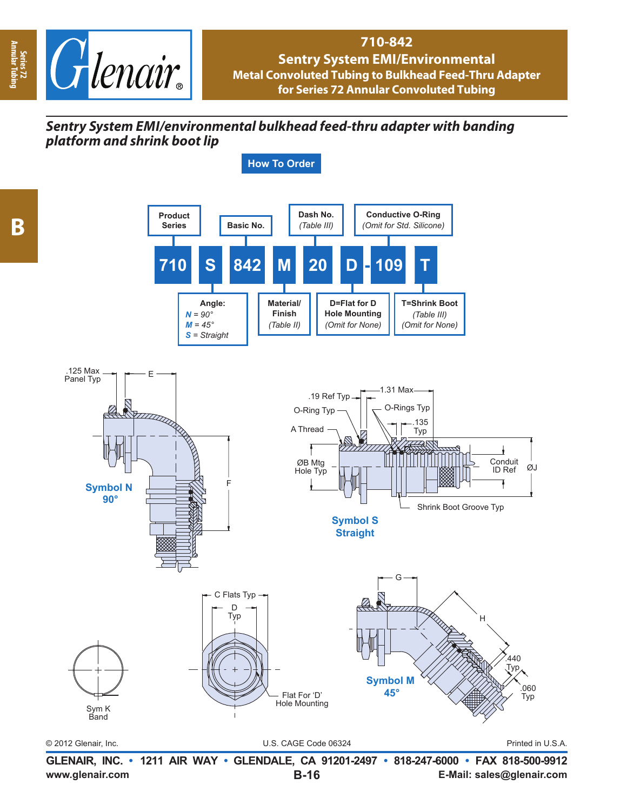

# **710-842 Sentry System EMI/Environmental Metal Convoluted Tubing to Bulkhead Feed-Thru Adapter for Series 72 Annular Convoluted Tubing**

# *Sentry System EMI/environmental bulkhead feed-thru adapter with banding platform and shrink boot lip*

**How To Order**



**Annular Tubing**

**B**